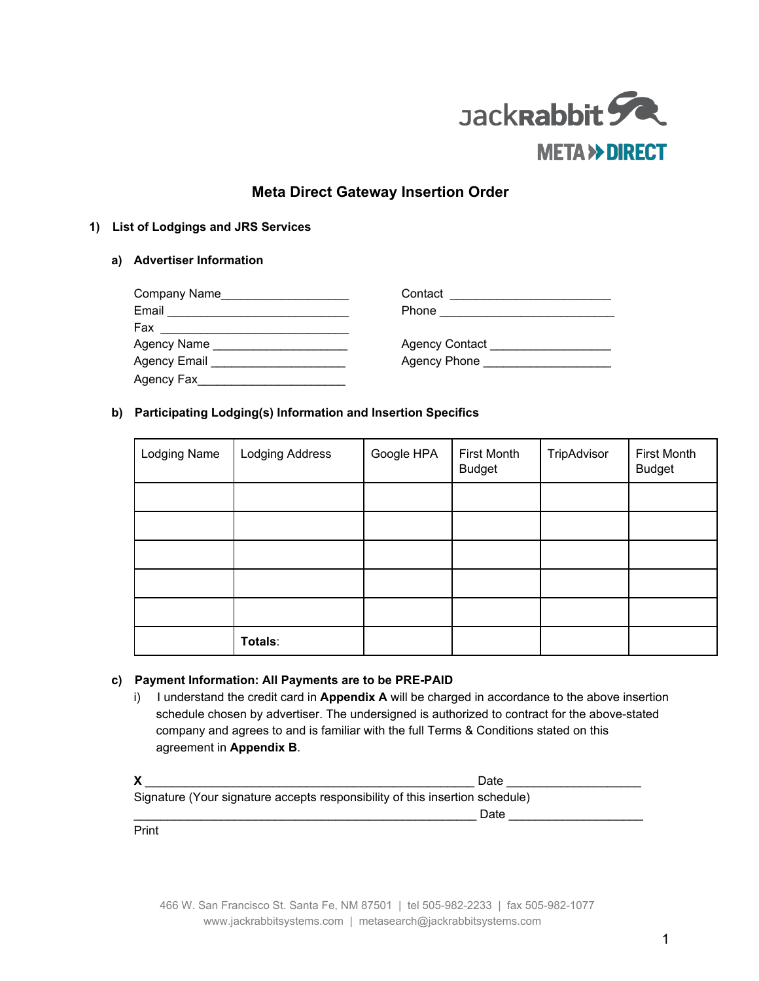

# **Meta Direct Gateway Insertion Order**

## **1) List of Lodgings and JRS Services**

## **a) Advertiser Information**

| Company Name        | Contact                     |
|---------------------|-----------------------------|
| Email               | Phone                       |
| Fax                 |                             |
| Agency Name         | Agency Contact              |
| <b>Agency Email</b> | Agency Phone <b>Example</b> |
| Agency Fax          |                             |

## **b) Participating Lodging(s) Information and Insertion Specifics**

| Lodging Name | Lodging Address | Google HPA | <b>First Month</b><br><b>Budget</b> | TripAdvisor | <b>First Month</b><br><b>Budget</b> |
|--------------|-----------------|------------|-------------------------------------|-------------|-------------------------------------|
|              |                 |            |                                     |             |                                     |
|              |                 |            |                                     |             |                                     |
|              |                 |            |                                     |             |                                     |
|              |                 |            |                                     |             |                                     |
|              |                 |            |                                     |             |                                     |
|              | Totals:         |            |                                     |             |                                     |

## **c) Payment Information: All Payments are to be PREPAID**

i) I understand the credit card in **Appendix A** will be charged in accordance to the above insertion schedule chosen by advertiser. The undersigned is authorized to contract for the above-stated company and agrees to and is familiar with the full Terms & Conditions stated on this agreement in **Appendix B**.

|                                                                              | Date |  |
|------------------------------------------------------------------------------|------|--|
| Signature (Your signature accepts responsibility of this insertion schedule) |      |  |
|                                                                              | Date |  |
| Print                                                                        |      |  |

466 W. San Francisco St. Santa Fe, NM 87501 | tel 505-982-2233 | fax 505-982-1077 www.jackrabbitsystems.com | metasearch@jackrabbitsystems.com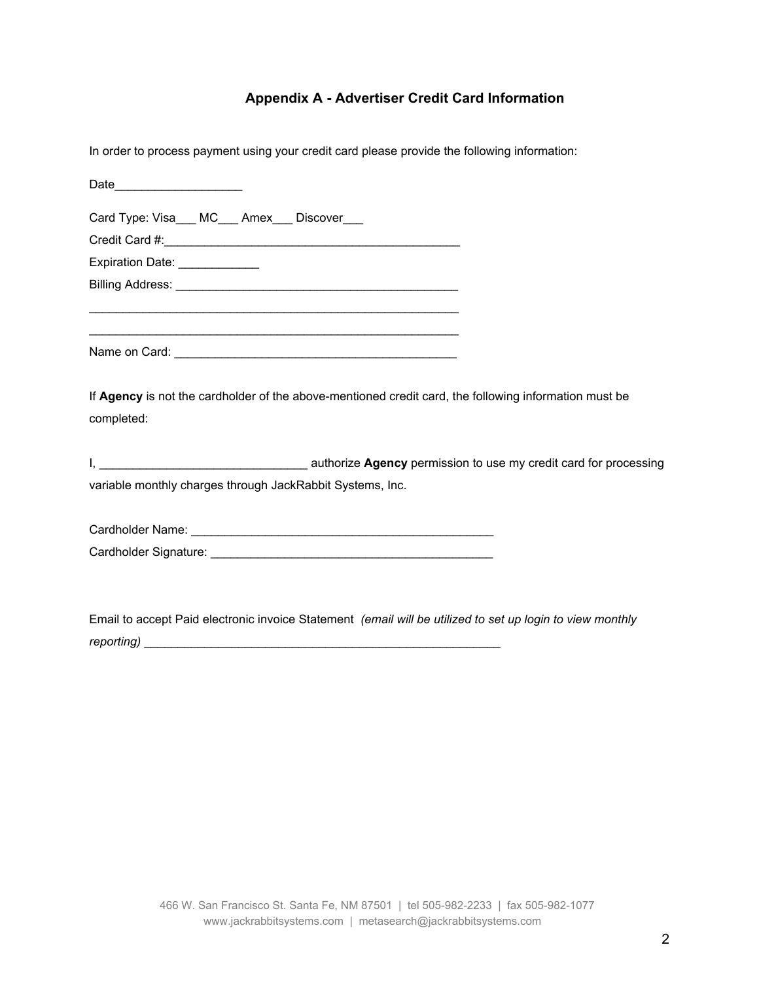# **Appendix A Advertiser Credit Card Information**

| In order to process payment using your credit card please provide the following information:              |
|-----------------------------------------------------------------------------------------------------------|
|                                                                                                           |
| Card Type: Visa___ MC___ Amex___ Discover___                                                              |
|                                                                                                           |
| Expiration Date: _____________                                                                            |
|                                                                                                           |
|                                                                                                           |
|                                                                                                           |
|                                                                                                           |
|                                                                                                           |
| If Agency is not the cardholder of the above-mentioned credit card, the following information must be     |
| completed:                                                                                                |
|                                                                                                           |
|                                                                                                           |
| variable monthly charges through JackRabbit Systems, Inc.                                                 |
|                                                                                                           |
|                                                                                                           |
|                                                                                                           |
|                                                                                                           |
|                                                                                                           |
| Email to accept Paid electronic invoice Statement (email will be utilized to set up login to view monthly |

Email to accept Paid electronic invoice Statement *(email will be utilized to set up login to view monthly reporting)* \_\_\_\_\_\_\_\_\_\_\_\_\_\_\_\_\_\_\_\_\_\_\_\_\_\_\_\_\_\_\_\_\_\_\_\_\_\_\_\_\_\_\_\_\_\_\_\_\_\_\_\_\_